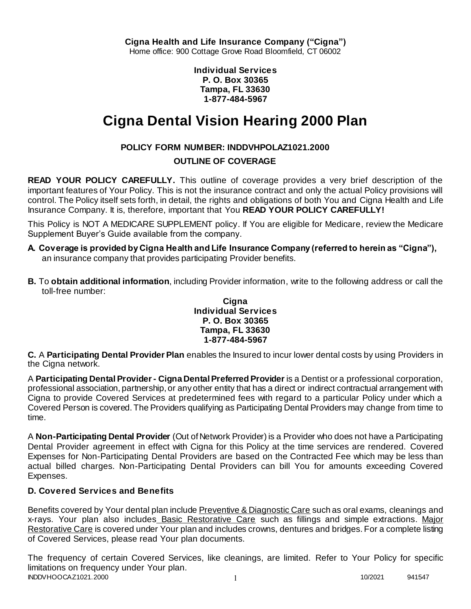**Individual Services P. O. Box 30365 Tampa, FL 33630 1-877-484-5967**

# **Cigna Dental Vision Hearing 2000 Plan**

# **POLICY FORM NUMBER: INDDVHPOLAZ1021.2000**

# **OUTLINE OF COVERAGE**

**READ YOUR POLICY CAREFULLY.** This outline of coverage provides a very brief description of the important features of Your Policy. This is not the insurance contract and only the actual Policy provisions will control. The Policy itself sets forth, in detail, the rights and obligations of both You and Cigna Health and Life Insurance Company. It is, therefore, important that You **READ YOUR POLICY CAREFULLY!** 

This Policy is NOT A MEDICARE SUPPLEMENT policy. If You are eligible for Medicare, review the Medicare Supplement Buyer's Guide available from the company.

- **A. Coverage is provided by Cigna Health and Life Insurance Company (referred to herein as "Cigna"),**  an insurance company that provides participating Provider benefits.
- **B.** To **obtain additional information**, including Provider information, write to the following address or call the toll-free number:

#### **Cigna Individual Services P. O. Box 30365 Tampa, FL 33630 1-877-484-5967**

**C.** A **Participating Dental Provider Plan** enables the Insured to incur lower dental costs by using Providers in the Cigna network.

A **Participating Dental Provider - Cigna Dental Preferred Provider** is a Dentist or a professional corporation, professional association, partnership, or any other entity that has a direct or indirect contractual arrangement with Cigna to provide Covered Services at predetermined fees with regard to a particular Policy under which a Covered Person is covered. The Providers qualifying as Participating Dental Providers may change from time to time.

A **Non-Participating Dental Provider** (Out of Network Provider) is a Provider who does not have a Participating Dental Provider agreement in effect with Cigna for this Policy at the time services are rendered. Covered Expenses for Non-Participating Dental Providers are based on the Contracted Fee which may be less than actual billed charges. Non-Participating Dental Providers can bill You for amounts exceeding Covered Expenses.

# **D. Covered Services and Benefits**

Benefits covered by Your dental plan include Preventive & Diagnostic Care such as oral exams, cleanings and x-rays. Your plan also includes Basic Restorative Care such as fillings and simple extractions. Major Restorative Care is covered under Your plan and includes crowns, dentures and bridges. For a complete listing of Covered Services, please read Your plan documents.

INDDVHOOCAZ1021.2000 1 10/2021 941547 The frequency of certain Covered Services, like cleanings, are limited. Refer to Your Policy for specific limitations on frequency under Your plan.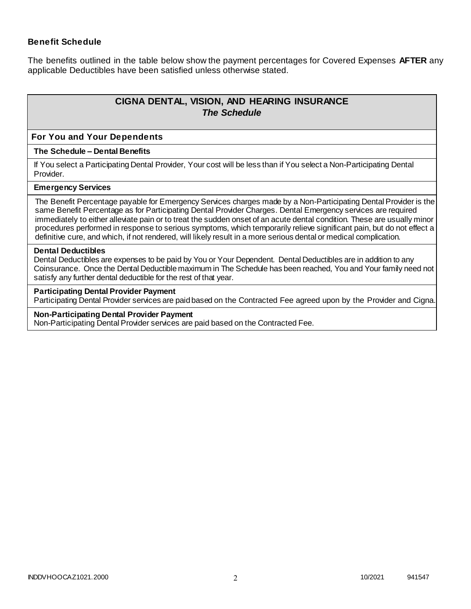### **Benefit Schedule**

The benefits outlined in the table below show the payment percentages for Covered Expenses **AFTER** any applicable Deductibles have been satisfied unless otherwise stated.

# **CIGNA DENTAL, VISION, AND HEARING INSURANCE** *The Schedule*

#### **For You and Your Dependents**

#### **The Schedule – Dental Benefits**

If You select a Participating Dental Provider, Your cost will be less than if You select a Non-Participating Dental Provider.

#### **Emergency Services**

The Benefit Percentage payable for Emergency Services charges made by a Non-Participating Dental Provider is the same Benefit Percentage as for Participating Dental Provider Charges. Dental Emergency services are required immediately to either alleviate pain or to treat the sudden onset of an acute dental condition. These are usually minor procedures performed in response to serious symptoms, which temporarily relieve significant pain, but do not effect a definitive cure, and which, if not rendered, will likely result in a more serious dental or medical complication.

#### **Dental Deductibles**

Dental Deductibles are expenses to be paid by You or Your Dependent. Dental Deductibles are in addition to any Coinsurance. Once the Dental Deductible maximum in The Schedule has been reached, You and Your family need not satisfy any further dental deductible for the rest of that year.

#### **Participating Dental Provider Payment**

Participating Dental Provider services are paid based on the Contracted Fee agreed upon by the Provider and Cigna.

#### **Non-Participating Dental Provider Payment**

Non-Participating Dental Provider services are paid based on the Contracted Fee.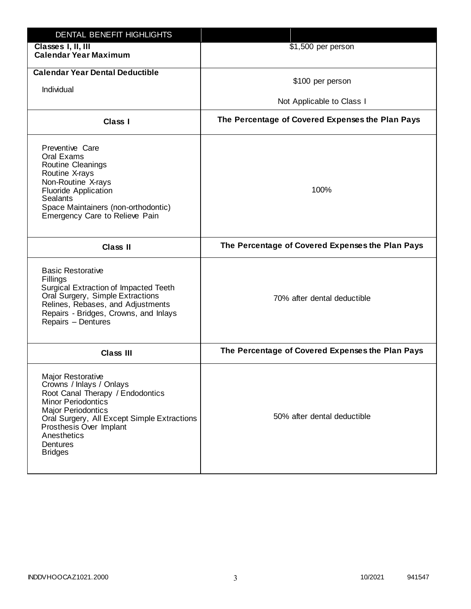| DENTAL BENEFIT HIGHLIGHTS                                                                                                                                                                                                                                                 |                                                  |
|---------------------------------------------------------------------------------------------------------------------------------------------------------------------------------------------------------------------------------------------------------------------------|--------------------------------------------------|
| Classes I, II, III<br><b>Calendar Year Maximum</b>                                                                                                                                                                                                                        | \$1,500 per person                               |
| <b>Calendar Year Dental Deductible</b><br>Individual                                                                                                                                                                                                                      | \$100 per person<br>Not Applicable to Class I    |
| Class I                                                                                                                                                                                                                                                                   | The Percentage of Covered Expenses the Plan Pays |
| Preventive Care<br>Oral Exams<br>Routine Cleanings<br>Routine X-rays<br>Non-Routine X-rays<br><b>Fluoride Application</b><br><b>Sealants</b><br>Space Maintainers (non-orthodontic)<br>Emergency Care to Relieve Pain                                                     | 100%                                             |
| <b>Class II</b>                                                                                                                                                                                                                                                           | The Percentage of Covered Expenses the Plan Pays |
| <b>Basic Restorative</b><br>Fillings<br>Surgical Extraction of Impacted Teeth<br>Oral Surgery, Simple Extractions<br>Relines, Rebases, and Adjustments<br>Repairs - Bridges, Crowns, and Inlays<br>Repairs - Dentures                                                     | 70% after dental deductible                      |
| <b>Class III</b>                                                                                                                                                                                                                                                          | The Percentage of Covered Expenses the Plan Pays |
| <b>Major Restorative</b><br>Crowns / Inlays / Onlays<br>Root Canal Therapy / Endodontics<br><b>Minor Periodontics</b><br><b>Major Periodontics</b><br>Oral Surgery, All Except Simple Extractions<br>Prosthesis Over Implant<br>Anesthetics<br>Dentures<br><b>Bridges</b> | 50% after dental deductible                      |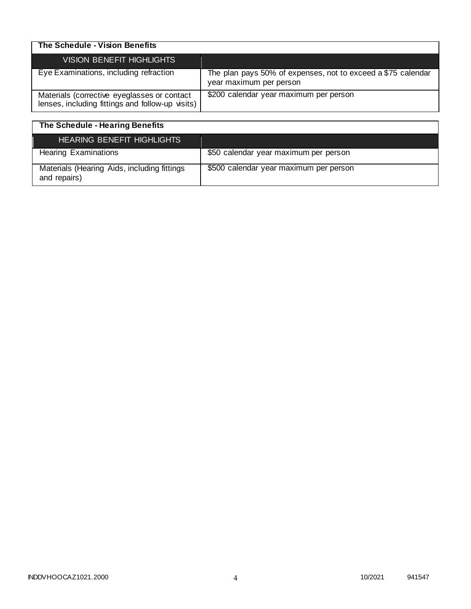| The Schedule - Vision Benefits                                                                  |                                                                                         |
|-------------------------------------------------------------------------------------------------|-----------------------------------------------------------------------------------------|
| VISION BENEFIT HIGHLIGHTS                                                                       |                                                                                         |
| Eye Examinations, including refraction                                                          | The plan pays 50% of expenses, not to exceed a \$75 calendar<br>year maximum per person |
| Materials (corrective eyeglasses or contact<br>lenses, including fittings and follow-up visits) | \$200 calendar year maximum per person                                                  |

| The Schedule - Hearing Benefits                             |                                        |
|-------------------------------------------------------------|----------------------------------------|
| <b>HEARING BENEFIT HIGHLIGHTS</b>                           |                                        |
| <b>Hearing Examinations</b>                                 | \$50 calendar year maximum per person  |
| Materials (Hearing Aids, including fittings<br>and repairs) | \$500 calendar year maximum per person |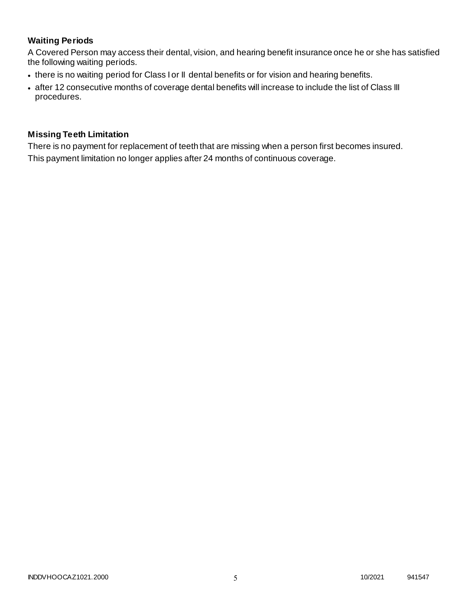# **Waiting Periods**

A Covered Person may access their dental, vision, and hearing benefit insurance once he or she has satisfied the following waiting periods.

- there is no waiting period for Class I or II dental benefits or for vision and hearing benefits.
- after 12 consecutive months of coverage dental benefits will increase to include the list of Class III procedures.

### **Missing Teeth Limitation**

There is no payment for replacement of teeth that are missing when a person first becomes insured. This payment limitation no longer applies after 24 months of continuous coverage.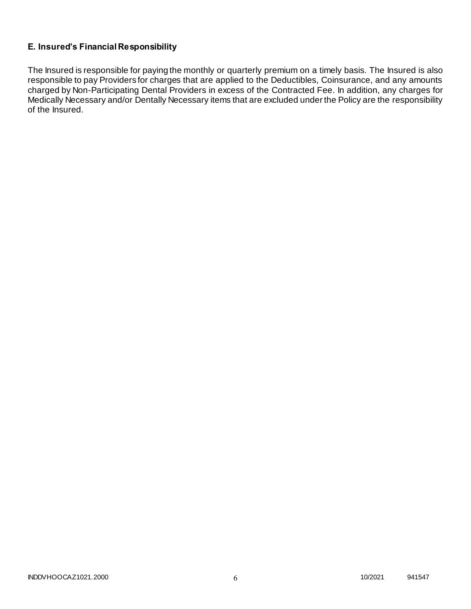# **E. Insured's Financial Responsibility**

The Insured is responsible for paying the monthly or quarterly premium on a timely basis. The Insured is also responsible to pay Providers for charges that are applied to the Deductibles, Coinsurance, and any amounts charged by Non-Participating Dental Providers in excess of the Contracted Fee. In addition, any charges for Medically Necessary and/or Dentally Necessary items that are excluded under the Policy are the responsibility of the Insured.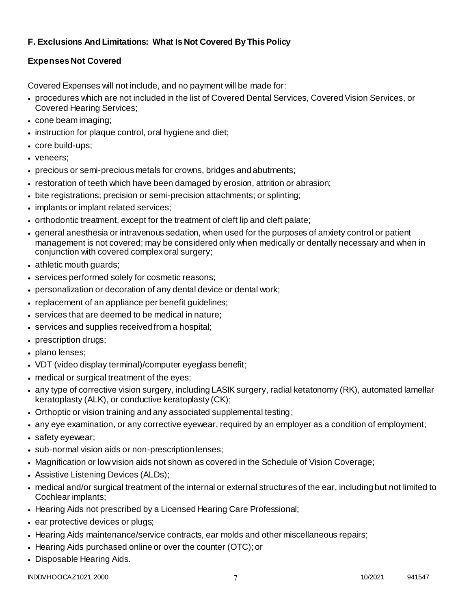# **F. Exclusions And Limitations: What Is Not Covered By This Policy**

# **Expenses Not Covered**

Covered Expenses will not include, and no payment will be made for:

- procedures which are not included in the list of Covered Dental Services, Covered Vision Services, or Covered Hearing Services;
- cone beam imaging;
- instruction for plaque control, oral hygiene and diet;
- core build-ups;
- veneers;
- precious or semi-precious metals for crowns, bridges and abutments;
- restoration of teeth which have been damaged by erosion, attrition or abrasion;
- bite registrations; precision or semi-precision attachments; or splinting;
- implants or implant related services;
- orthodontic treatment, except for the treatment of cleft lip and cleft palate;
- general anesthesia or intravenous sedation, when used for the purposes of anxiety control or patient management is not covered; may be considered only when medically or dentally necessary and when in conjunction with covered complex oral surgery;
- athletic mouth guards;
- services performed solely for cosmetic reasons;
- personalization or decoration of any dental device or dental work;
- replacement of an appliance per benefit guidelines;
- services that are deemed to be medical in nature;
- services and supplies received from a hospital;
- prescription drugs;
- plano lenses:
- VDT (video display terminal)/computer eyeglass benefit;
- medical or surgical treatment of the eyes;
- any type of corrective vision surgery, including LASIK surgery, radial ketatonomy (RK), automated lamellar keratoplasty (ALK), or conductive keratoplasty (CK);
- Orthoptic or vision training and any associated supplemental testing;
- any eye examination, or any corrective eyewear, required by an employer as a condition of employment;
- safety eyewear;
- sub-normal vision aids or non-prescription lenses;
- Magnification or low vision aids not shown as covered in the Schedule of Vision Coverage;
- Assistive Listening Devices (ALDs);
- medical and/or surgical treatment of the internal or external structures of the ear, including but not limited to Cochlear implants;
- Hearing Aids not prescribed by a Licensed Hearing Care Professional;
- ear protective devices or plugs;
- Hearing Aids maintenance/service contracts, ear molds and other miscellaneous repairs;
- Hearing Aids purchased online or over the counter (OTC); or
- Disposable Hearing Aids.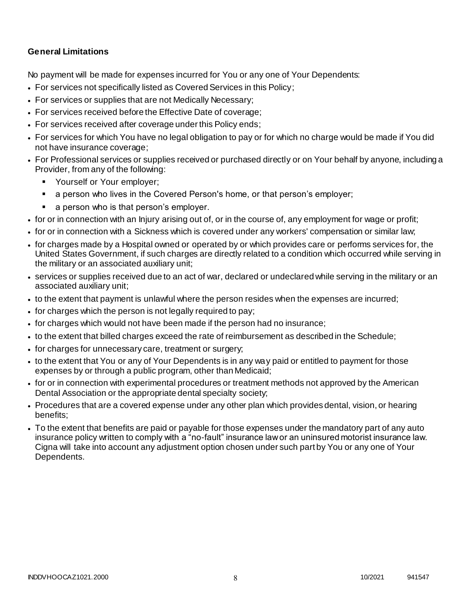### **General Limitations**

No payment will be made for expenses incurred for You or any one of Your Dependents:

- For services not specifically listed as Covered Services in this Policy;
- For services or supplies that are not Medically Necessary;
- For services received before the Effective Date of coverage;
- For services received after coverage under this Policy ends;
- For services for which You have no legal obligation to pay or for which no charge would be made if You did not have insurance coverage;
- For Professional services or supplies received or purchased directly or on Your behalf by anyone, including a Provider, from any of the following:
	- **Yourself or Your employer;**
	- a person who lives in the Covered Person's home, or that person's employer;
	- a person who is that person's employer.
- for or in connection with an Injury arising out of, or in the course of, any employment for wage or profit;
- for or in connection with a Sickness which is covered under any workers' compensation or similar law;
- for charges made by a Hospital owned or operated by or which provides care or performs services for, the United States Government, if such charges are directly related to a condition which occurred while serving in the military or an associated auxiliary unit;
- services or supplies received due to an act of war, declared or undeclared while serving in the military or an associated auxiliary unit;
- to the extent that payment is unlawful where the person resides when the expenses are incurred;
- for charges which the person is not legally required to pay;
- for charges which would not have been made if the person had no insurance;
- to the extent that billed charges exceed the rate of reimbursement as described in the Schedule;
- for charges for unnecessary care, treatment or surgery;
- to the extent that You or any of Your Dependents is in any way paid or entitled to payment for those expenses by or through a public program, other than Medicaid;
- for or in connection with experimental procedures or treatment methods not approved by the American Dental Association or the appropriate dental specialty society;
- Procedures that are a covered expense under any other plan which provides dental, vision, or hearing benefits;
- To the extent that benefits are paid or payable for those expenses under the mandatory part of any auto insurance policy written to comply with a "no-fault" insurance law or an uninsured motorist insurance law. Cigna will take into account any adjustment option chosen under such part by You or any one of Your Dependents.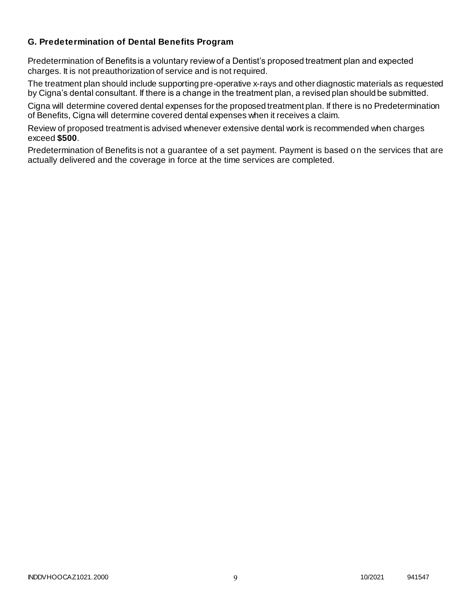### **G. Predetermination of Dental Benefits Program**

Predetermination of Benefits is a voluntary review of a Dentist's proposed treatment plan and expected charges. It is not preauthorization of service and is not required.

The treatment plan should include supporting pre-operative x-rays and other diagnostic materials as requested by Cigna's dental consultant. If there is a change in the treatment plan, a revised plan should be submitted.

Cigna will determine covered dental expenses for the proposed treatment plan. If there is no Predetermination of Benefits, Cigna will determine covered dental expenses when it receives a claim.

Review of proposed treatment is advised whenever extensive dental work is recommended when charges exceed **\$500**.

Predetermination of Benefits is not a guarantee of a set payment. Payment is based on the services that are actually delivered and the coverage in force at the time services are completed.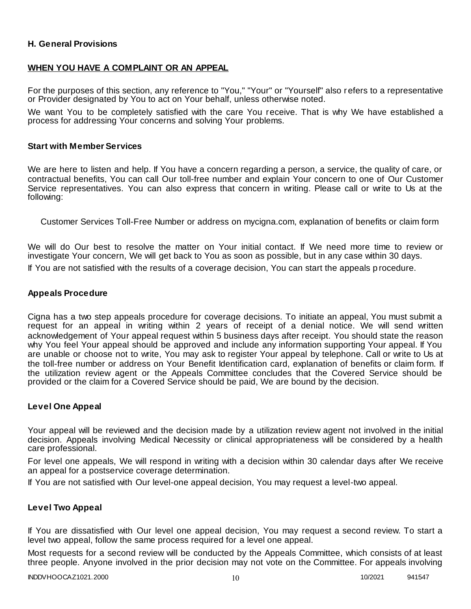### **H. General Provisions**

### **WHEN YOU HAVE A COMPLAINT OR AN APPEAL**

For the purposes of this section, any reference to "You," "Your" or "Yourself" also r efers to a representative or Provider designated by You to act on Your behalf, unless otherwise noted.

We want You to be completely satisfied with the care You receive. That is why We have established a process for addressing Your concerns and solving Your problems.

#### **Start with Member Services**

We are here to listen and help. If You have a concern regarding a person, a service, the quality of care, or contractual benefits, You can call Our toll-free number and explain Your concern to one of Our Customer Service representatives. You can also express that concern in writing. Please call or write to Us at the following:

Customer Services Toll-Free Number or address on mycigna.com, explanation of benefits or claim form

We will do Our best to resolve the matter on Your initial contact. If We need more time to review or investigate Your concern, We will get back to You as soon as possible, but in any case within 30 days.

If You are not satisfied with the results of a coverage decision, You can start the appeals p rocedure.

#### **Appeals Procedure**

Cigna has a two step appeals procedure for coverage decisions. To initiate an appeal, You must submit a request for an appeal in writing within 2 years of receipt of a denial notice. We will send written acknowledgement of Your appeal request within 5 business days after receipt. You should state the reason why You feel Your appeal should be approved and include any information supporting Your appeal. If You are unable or choose not to write, You may ask to register Your appeal by telephone. Call or write to Us at the toll-free number or address on Your Benefit Identification card, explanation of benefits or claim form. If the utilization review agent or the Appeals Committee concludes that the Covered Service should be provided or the claim for a Covered Service should be paid, We are bound by the decision.

#### **Level One Appeal**

Your appeal will be reviewed and the decision made by a utilization review agent not involved in the initial decision. Appeals involving Medical Necessity or clinical appropriateness will be considered by a health care professional.

For level one appeals, We will respond in writing with a decision within 30 calendar days after We receive an appeal for a postservice coverage determination.

If You are not satisfied with Our level-one appeal decision, You may request a level-two appeal.

#### **Level Two Appeal**

If You are dissatisfied with Our level one appeal decision, You may request a second review. To start a level two appeal, follow the same process required for a level one appeal.

Most requests for a second review will be conducted by the Appeals Committee, which consists of at least three people. Anyone involved in the prior decision may not vote on the Committee. For appeals involving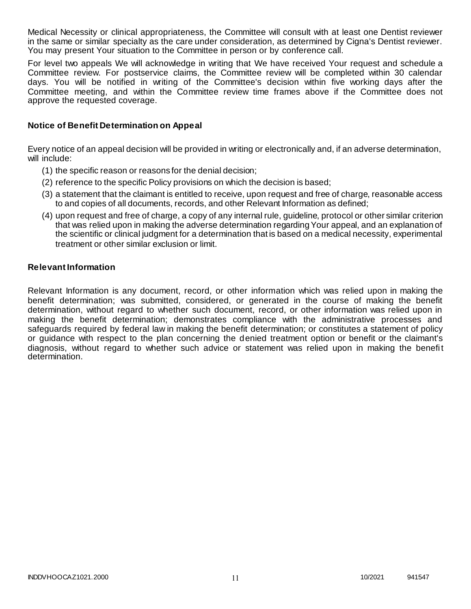Medical Necessity or clinical appropriateness, the Committee will consult with at least one Dentist reviewer in the same or similar specialty as the care under consideration, as determined by Cigna's Dentist reviewer. You may present Your situation to the Committee in person or by conference call.

For level two appeals We will acknowledge in writing that We have received Your request and schedule a Committee review. For postservice claims, the Committee review will be completed within 30 calendar days. You will be notified in writing of the Committee's decision within five working days after the Committee meeting, and within the Committee review time frames above if the Committee does not approve the requested coverage.

### **Notice of Benefit Determination on Appeal**

Every notice of an appeal decision will be provided in writing or electronically and, if an adverse determination, will include:

- (1) the specific reason or reasons for the denial decision;
- (2) reference to the specific Policy provisions on which the decision is based;
- (3) a statement that the claimant is entitled to receive, upon request and free of charge, reasonable access to and copies of all documents, records, and other Relevant Information as defined;
- (4) upon request and free of charge, a copy of any internal rule, guideline, protocol or other similar criterion that was relied upon in making the adverse determination regarding Your appeal, and an explanation of the scientific or clinical judgment for a determination that is based on a medical necessity, experimental treatment or other similar exclusion or limit.

#### **Relevant Information**

Relevant Information is any document, record, or other information which was relied upon in making the benefit determination; was submitted, considered, or generated in the course of making the benefit determination, without regard to whether such document, record, or other information was relied upon in making the benefit determination; demonstrates compliance with the administrative processes and safeguards required by federal law in making the benefit determination; or constitutes a statement of policy or guidance with respect to the plan concerning the denied treatment option or benefit or the claimant's diagnosis, without regard to whether such advice or statement was relied upon in making the benefit determination.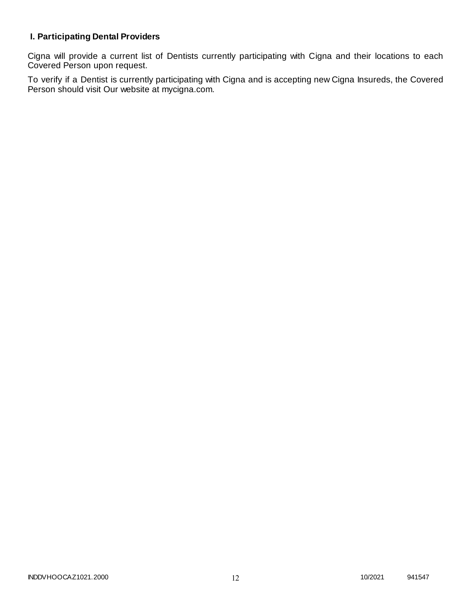# **I. Participating Dental Providers**

Cigna will provide a current list of Dentists currently participating with Cigna and their locations to each Covered Person upon request.

To verify if a Dentist is currently participating with Cigna and is accepting new Cigna Insureds, the Covered Person should visit Our website at mycigna.com.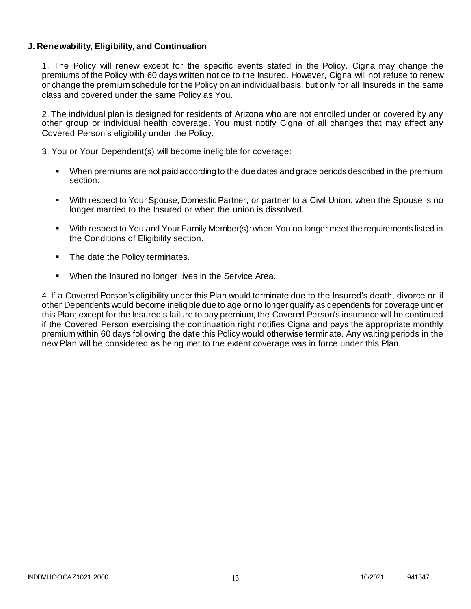### **J. Renewability, Eligibility, and Continuation**

1. The Policy will renew except for the specific events stated in the Policy. Cigna may change the premiums of the Policy with 60 days written notice to the Insured. However, Cigna will not refuse to renew or change the premium schedule for the Policy on an individual basis, but only for all Insureds in the same class and covered under the same Policy as You.

2. The individual plan is designed for residents of Arizona who are not enrolled under or covered by any other group or individual health coverage. You must notify Cigna of all changes that may affect any Covered Person's eligibility under the Policy.

3. You or Your Dependent(s) will become ineligible for coverage:

- When premiums are not paid according to the due dates and grace periods described in the premium section.
- With respect to Your Spouse, Domestic Partner, or partner to a Civil Union: when the Spouse is no longer married to the Insured or when the union is dissolved.
- With respect to You and Your Family Member(s): when You no longer meet the requirements listed in the Conditions of Eligibility section.
- The date the Policy terminates.
- When the Insured no longer lives in the Service Area.

4. If a Covered Person's eligibility under this Plan would terminate due to the Insured's death, divorce or if other Dependents would become ineligible due to age or no longer qualify as dependents for coverage under this Plan; except for the Insured's failure to pay premium, the Covered Person's insurance will be continued if the Covered Person exercising the continuation right notifies Cigna and pays the appropriate monthly premium within 60 days following the date this Policy would otherwise terminate. Any waiting periods in the new Plan will be considered as being met to the extent coverage was in force under this Plan.